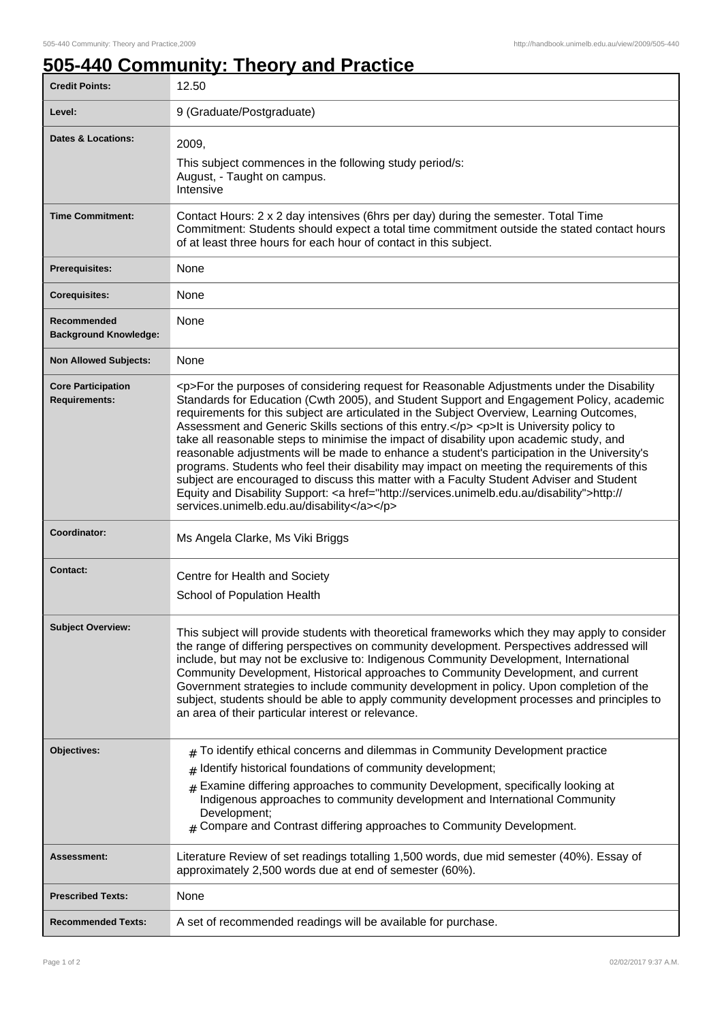## **505-440 Community: Theory and Practice**

| <b>Credit Points:</b>                             | 12.50                                                                                                                                                                                                                                                                                                                                                                                                                                                                                                                                                                                                                                                                                                                                                                                                                                                                                                                        |
|---------------------------------------------------|------------------------------------------------------------------------------------------------------------------------------------------------------------------------------------------------------------------------------------------------------------------------------------------------------------------------------------------------------------------------------------------------------------------------------------------------------------------------------------------------------------------------------------------------------------------------------------------------------------------------------------------------------------------------------------------------------------------------------------------------------------------------------------------------------------------------------------------------------------------------------------------------------------------------------|
| Level:                                            | 9 (Graduate/Postgraduate)                                                                                                                                                                                                                                                                                                                                                                                                                                                                                                                                                                                                                                                                                                                                                                                                                                                                                                    |
| <b>Dates &amp; Locations:</b>                     | 2009,<br>This subject commences in the following study period/s:<br>August, - Taught on campus.<br>Intensive                                                                                                                                                                                                                                                                                                                                                                                                                                                                                                                                                                                                                                                                                                                                                                                                                 |
| <b>Time Commitment:</b>                           | Contact Hours: 2 x 2 day intensives (6hrs per day) during the semester. Total Time<br>Commitment: Students should expect a total time commitment outside the stated contact hours<br>of at least three hours for each hour of contact in this subject.                                                                                                                                                                                                                                                                                                                                                                                                                                                                                                                                                                                                                                                                       |
| <b>Prerequisites:</b>                             | None                                                                                                                                                                                                                                                                                                                                                                                                                                                                                                                                                                                                                                                                                                                                                                                                                                                                                                                         |
| <b>Corequisites:</b>                              | None                                                                                                                                                                                                                                                                                                                                                                                                                                                                                                                                                                                                                                                                                                                                                                                                                                                                                                                         |
| Recommended<br><b>Background Knowledge:</b>       | None                                                                                                                                                                                                                                                                                                                                                                                                                                                                                                                                                                                                                                                                                                                                                                                                                                                                                                                         |
| <b>Non Allowed Subjects:</b>                      | None                                                                                                                                                                                                                                                                                                                                                                                                                                                                                                                                                                                                                                                                                                                                                                                                                                                                                                                         |
| <b>Core Participation</b><br><b>Requirements:</b> | <p>For the purposes of considering request for Reasonable Adjustments under the Disability<br/>Standards for Education (Cwth 2005), and Student Support and Engagement Policy, academic<br/>requirements for this subject are articulated in the Subject Overview, Learning Outcomes,<br/>Assessment and Generic Skills sections of this entry.</p> <p>lt is University policy to<br/>take all reasonable steps to minimise the impact of disability upon academic study, and<br/>reasonable adjustments will be made to enhance a student's participation in the University's<br/>programs. Students who feel their disability may impact on meeting the requirements of this<br/>subject are encouraged to discuss this matter with a Faculty Student Adviser and Student<br/>Equity and Disability Support: &lt; a href="http://services.unimelb.edu.au/disability"&gt;http://<br/>services.unimelb.edu.au/disability</p> |
| Coordinator:                                      | Ms Angela Clarke, Ms Viki Briggs                                                                                                                                                                                                                                                                                                                                                                                                                                                                                                                                                                                                                                                                                                                                                                                                                                                                                             |
| Contact:                                          | Centre for Health and Society<br>School of Population Health                                                                                                                                                                                                                                                                                                                                                                                                                                                                                                                                                                                                                                                                                                                                                                                                                                                                 |
| <b>Subject Overview:</b>                          | This subject will provide students with theoretical frameworks which they may apply to consider<br>the range of differing perspectives on community development. Perspectives addressed will<br>include, but may not be exclusive to: Indigenous Community Development, International<br>Community Development, Historical approaches to Community Development, and current<br>Government strategies to include community development in policy. Upon completion of the<br>subject, students should be able to apply community development processes and principles to<br>an area of their particular interest or relevance.                                                                                                                                                                                                                                                                                                 |
| Objectives:                                       | To identify ethical concerns and dilemmas in Community Development practice<br>$\pm$<br>Identify historical foundations of community development;<br>#<br>Examine differing approaches to community Development, specifically looking at<br>#<br>Indigenous approaches to community development and International Community<br>Development;<br>Compare and Contrast differing approaches to Community Development.<br>#                                                                                                                                                                                                                                                                                                                                                                                                                                                                                                      |
| Assessment:                                       | Literature Review of set readings totalling 1,500 words, due mid semester (40%). Essay of<br>approximately 2,500 words due at end of semester (60%).                                                                                                                                                                                                                                                                                                                                                                                                                                                                                                                                                                                                                                                                                                                                                                         |
| <b>Prescribed Texts:</b>                          | None                                                                                                                                                                                                                                                                                                                                                                                                                                                                                                                                                                                                                                                                                                                                                                                                                                                                                                                         |
| <b>Recommended Texts:</b>                         | A set of recommended readings will be available for purchase.                                                                                                                                                                                                                                                                                                                                                                                                                                                                                                                                                                                                                                                                                                                                                                                                                                                                |